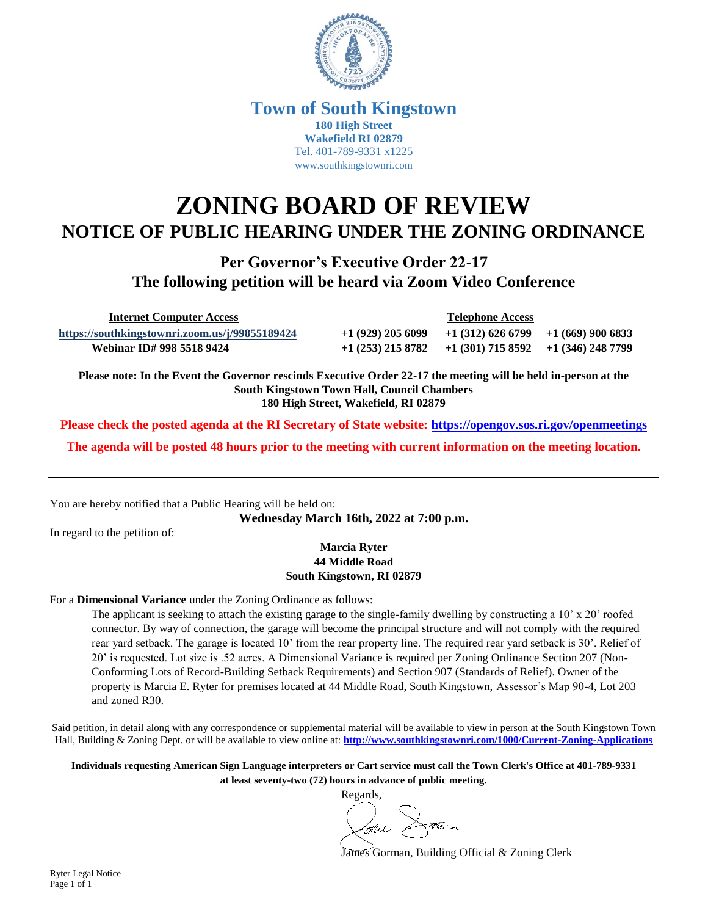

### **Town of South Kingstown 180 High Street Wakefield RI 02879** Tel. 401-789-9331 x1225 [www.southkingstownri.com](http://www.southkingstownri.com/)

# **ZONING BOARD OF REVIEW NOTICE OF PUBLIC HEARING UNDER THE ZONING ORDINANCE**

**Per Governor's Executive Order 22-17 The following petition will be heard via Zoom Video Conference**

 **Internet Computer Access Telephone Access**

**<https://southkingstownri.zoom.us/j/99855189424>** +**1 (929) 205 6099 +1 (312) 626 6799 +1 (669) 900 6833 Webinar ID# 998 5518 9424 +1 (253) 215 8782 +1 (301) 715 8592 +1 (346) 248 7799** 

**Please note: In the Event the Governor rescinds Executive Order 22-17 the meeting will be held in-person at the South Kingstown Town Hall, Council Chambers 180 High Street, Wakefield, RI 02879**

**Please check the posted agenda at the RI Secretary of State website:<https://opengov.sos.ri.gov/openmeetings>**

**The agenda will be posted 48 hours prior to the meeting with current information on the meeting location.**

You are hereby notified that a Public Hearing will be held on:

**Wednesday March 16th, 2022 at 7:00 p.m.**

In regard to the petition of:

#### **Marcia Ryter 44 Middle Road South Kingstown, RI 02879**

#### For a **Dimensional Variance** under the Zoning Ordinance as follows:

The applicant is seeking to attach the existing garage to the single-family dwelling by constructing a 10' x 20' roofed connector. By way of connection, the garage will become the principal structure and will not comply with the required rear yard setback. The garage is located 10' from the rear property line. The required rear yard setback is 30'. Relief of 20' is requested. Lot size is .52 acres. A Dimensional Variance is required per Zoning Ordinance Section 207 (Non-Conforming Lots of Record-Building Setback Requirements) and Section 907 (Standards of Relief). Owner of the property is Marcia E. Ryter for premises located at 44 Middle Road, South Kingstown, Assessor's Map 90-4, Lot 203 and zoned R30.

Said petition, in detail along with any correspondence or supplemental material will be available to view in person at the South Kingstown Town Hall, Building & Zoning Dept. or will be available to view online at: **<http://www.southkingstownri.com/1000/Current-Zoning-Applications>**

**Individuals requesting American Sign Language interpreters or Cart service must call the Town Clerk's Office at 401-789-9331 at least seventy-two (72) hours in advance of public meeting.**

Regards,

James Gorman, Building Official & Zoning Clerk